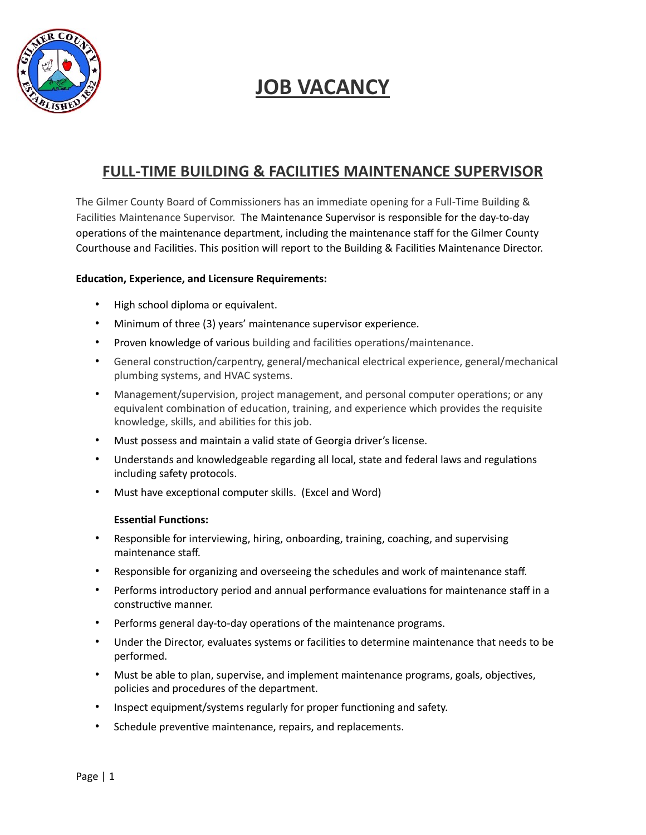

## **JOB VACANCY**

## **FULL-TIME BUILDING & FACILITIES MAINTENANCE SUPERVISOR**

The Gilmer County Board of Commissioners has an immediate opening for a Full-Time Building & Facilities Maintenance Supervisor. The Maintenance Supervisor is responsible for the day-to-day operations of the maintenance department, including the maintenance staff for the Gilmer County Courthouse and Facilities. This position will report to the Building & Facilities Maintenance Director.

## **Education, Experience, and Licensure Requirements:**

- High school diploma or equivalent.
- Minimum of three (3) years' maintenance supervisor experience.
- Proven knowledge of various building and facilities operations/maintenance.
- General construction/carpentry, general/mechanical electrical experience, general/mechanical plumbing systems, and HVAC systems.
- Management/supervision, project management, and personal computer operations; or any equivalent combination of education, training, and experience which provides the requisite knowledge, skills, and abilities for this job.
- Must possess and maintain a valid state of Georgia driver's license.
- Understands and knowledgeable regarding all local, state and federal laws and regulations including safety protocols.
- Must have exceptional computer skills. (Excel and Word)

## **Essential Functions:**

- Responsible for interviewing, hiring, onboarding, training, coaching, and supervising maintenance staff.
- Responsible for organizing and overseeing the schedules and work of maintenance staff.
- Performs introductory period and annual performance evaluations for maintenance staff in a constructive manner.
- Performs general day-to-day operations of the maintenance programs.
- Under the Director, evaluates systems or facilities to determine maintenance that needs to be performed.
- Must be able to plan, supervise, and implement maintenance programs, goals, objectives, policies and procedures of the department.
- Inspect equipment/systems regularly for proper functioning and safety.
- Schedule preventive maintenance, repairs, and replacements.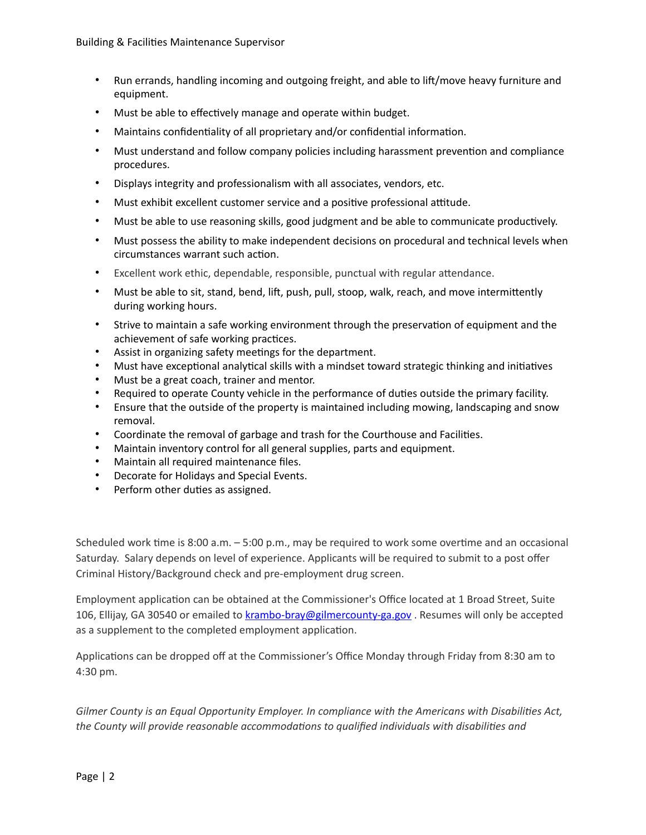- Run errands, handling incoming and outgoing freight, and able to lift/move heavy furniture and equipment.
- Must be able to effectively manage and operate within budget.
- Maintains confidentiality of all proprietary and/or confidential information.
- Must understand and follow company policies including harassment prevention and compliance procedures.
- Displays integrity and professionalism with all associates, vendors, etc.
- Must exhibit excellent customer service and a positive professional attitude.
- Must be able to use reasoning skills, good judgment and be able to communicate productively.
- Must possess the ability to make independent decisions on procedural and technical levels when circumstances warrant such action.
- Excellent work ethic, dependable, responsible, punctual with regular attendance.
- Must be able to sit, stand, bend, lift, push, pull, stoop, walk, reach, and move intermittently during working hours.
- Strive to maintain a safe working environment through the preservation of equipment and the achievement of safe working practices.
- Assist in organizing safety meetings for the department.
- Must have exceptional analytical skills with a mindset toward strategic thinking and initiatives
- Must be a great coach, trainer and mentor.
- Required to operate County vehicle in the performance of duties outside the primary facility.
- Ensure that the outside of the property is maintained including mowing, landscaping and snow removal.
- Coordinate the removal of garbage and trash for the Courthouse and Facilities.
- Maintain inventory control for all general supplies, parts and equipment.
- Maintain all required maintenance files.
- Decorate for Holidays and Special Events.
- Perform other duties as assigned.

Scheduled work time is 8:00 a.m.  $-5:00$  p.m., may be required to work some overtime and an occasional Saturday. Salary depends on level of experience. Applicants will be required to submit to a post offer Criminal History/Background check and pre-employment drug screen.

Employment application can be obtained at the Commissioner's Office located at 1 Broad Street, Suite 106, Ellijay, GA 30540 or emailed to [krambo-bray@gilmercounty-ga.gov](mailto:krambo-bray@gilmercounty-ga.gov). Resumes will only be accepted as a supplement to the completed employment application.

Applications can be dropped off at the Commissioner's Office Monday through Friday from 8:30 am to 4:30 pm.

Gilmer County is an Equal Opportunity Employer. In compliance with the Americans with Disabilities Act, the County will provide reasonable accommodations to qualified individuals with disabilities and